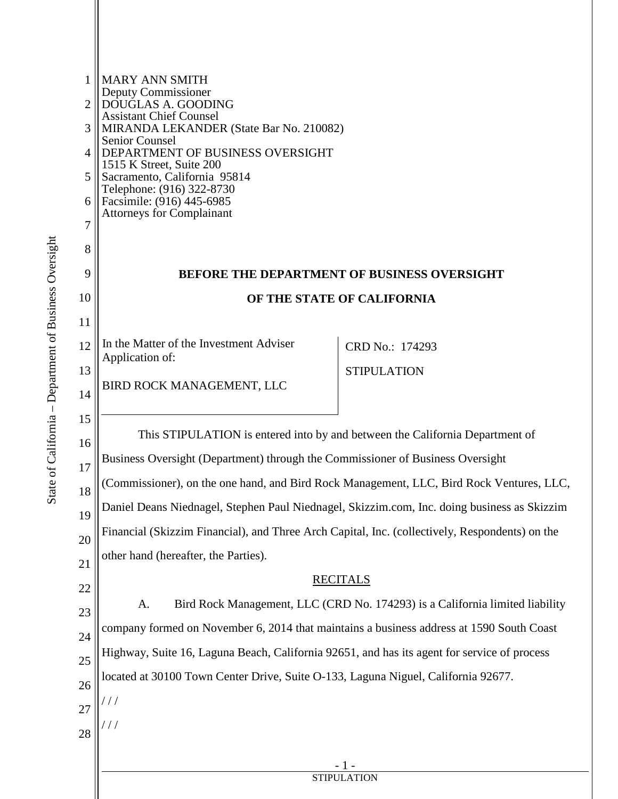| 1<br>$\overline{2}$ | <b>MARY ANN SMITH</b><br>Deputy Commissioner<br>DOUGLAS A. GOODING                                                                                                                                                  |                    |  |
|---------------------|---------------------------------------------------------------------------------------------------------------------------------------------------------------------------------------------------------------------|--------------------|--|
| 3                   | <b>Assistant Chief Counsel</b><br>MIRANDA LEKANDER (State Bar No. 210082)                                                                                                                                           |                    |  |
| $\overline{4}$      | <b>Senior Counsel</b><br>DEPARTMENT OF BUSINESS OVERSIGHT<br>1515 K Street, Suite 200<br>Sacramento, California 95814<br>Telephone: (916) 322-8730<br>Facsimile: (916) 445-6985<br><b>Attorneys for Complainant</b> |                    |  |
| 5                   |                                                                                                                                                                                                                     |                    |  |
| 6                   |                                                                                                                                                                                                                     |                    |  |
| 7                   |                                                                                                                                                                                                                     |                    |  |
| 8                   |                                                                                                                                                                                                                     |                    |  |
| 9                   | <b>BEFORE THE DEPARTMENT OF BUSINESS OVERSIGHT</b>                                                                                                                                                                  |                    |  |
| 10                  | OF THE STATE OF CALIFORNIA                                                                                                                                                                                          |                    |  |
| 11                  |                                                                                                                                                                                                                     |                    |  |
| 12                  | In the Matter of the Investment Adviser                                                                                                                                                                             | CRD No.: 174293    |  |
| 13                  | Application of:                                                                                                                                                                                                     | <b>STIPULATION</b> |  |
| 14                  | BIRD ROCK MANAGEMENT, LLC                                                                                                                                                                                           |                    |  |
| 15                  |                                                                                                                                                                                                                     |                    |  |
| 16                  | This STIPULATION is entered into by and between the California Department of                                                                                                                                        |                    |  |
| 17                  | Business Oversight (Department) through the Commissioner of Business Oversight                                                                                                                                      |                    |  |
| 18                  | (Commissioner), on the one hand, and Bird Rock Management, LLC, Bird Rock Ventures, LLC,                                                                                                                            |                    |  |
| 19                  | Daniel Deans Niednagel, Stephen Paul Niednagel, Skizzim.com, Inc. doing business as Skizzim                                                                                                                         |                    |  |
| 20                  | Financial (Skizzim Financial), and Three Arch Capital, Inc. (collectively, Respondents) on the                                                                                                                      |                    |  |
| 21                  | other hand (hereafter, the Parties).                                                                                                                                                                                |                    |  |
| 22                  | <b>RECITALS</b><br>Bird Rock Management, LLC (CRD No. 174293) is a California limited liability<br>A.                                                                                                               |                    |  |
| 23                  |                                                                                                                                                                                                                     |                    |  |
| 24                  | company formed on November 6, 2014 that maintains a business address at 1590 South Coast                                                                                                                            |                    |  |
| 25                  | Highway, Suite 16, Laguna Beach, California 92651, and has its agent for service of process                                                                                                                         |                    |  |
| 26                  | located at 30100 Town Center Drive, Suite O-133, Laguna Niguel, California 92677.                                                                                                                                   |                    |  |
| 27                  | $\frac{1}{2}$                                                                                                                                                                                                       |                    |  |
| 28                  |                                                                                                                                                                                                                     |                    |  |
|                     |                                                                                                                                                                                                                     |                    |  |
|                     | <b>STIPULATION</b>                                                                                                                                                                                                  |                    |  |
|                     |                                                                                                                                                                                                                     |                    |  |

II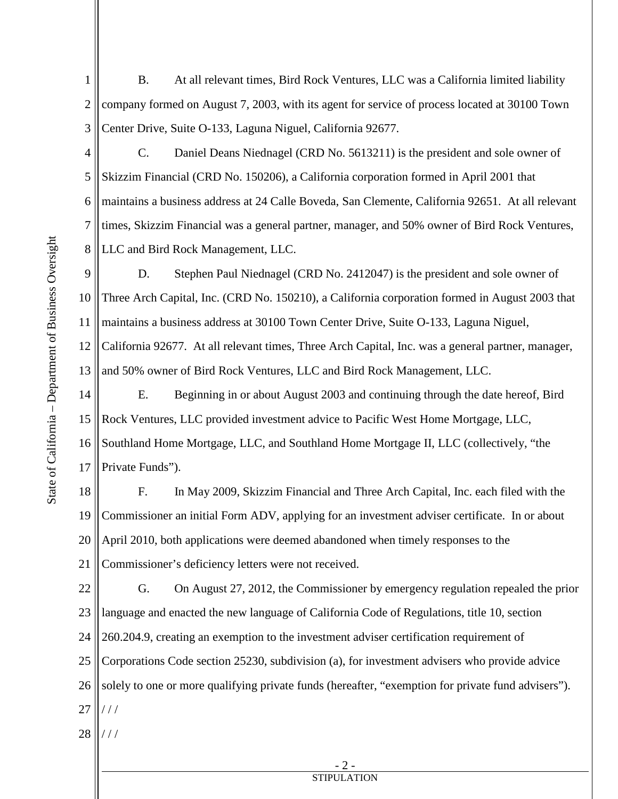- Center Drive, Suite O-133, Laguna Niguel, California 92677. 1 2 3 B. At all relevant times, Bird Rock Ventures, LLC was a California limited liability company formed on August 7, 2003, with its agent for service of process located at 30100 Town
- maintains a business address at 24 Calle Boveda, San Clemente, California 92651. At all relevant 4 5 6 7 8 C. Daniel Deans Niednagel (CRD No. 5613211) is the president and sole owner of Skizzim Financial (CRD No. 150206), a California corporation formed in April 2001 that times, Skizzim Financial was a general partner, manager, and 50% owner of Bird Rock Ventures, LLC and Bird Rock Management, LLC.

 California 92677. At all relevant times, Three Arch Capital, Inc. was a general partner, manager, and 50% owner of Bird Rock Ventures, LLC and Bird Rock Management, LLC. 9 10 11 12 13 D. Stephen Paul Niednagel (CRD No. 2412047) is the president and sole owner of Three Arch Capital, Inc. (CRD No. 150210), a California corporation formed in August 2003 that maintains a business address at 30100 Town Center Drive, Suite O-133, Laguna Niguel,

 Rock Ventures, LLC provided investment advice to Pacific West Home Mortgage, LLC, Southland Home Mortgage, LLC, and Southland Home Mortgage II, LLC (collectively, "the 14 15 16 17 E. Beginning in or about August 2003 and continuing through the date hereof, Bird Private Funds").

 F. In May 2009, Skizzim Financial and Three Arch Capital, Inc. each filed with the Commissioner an initial Form ADV, applying for an investment adviser certificate. In or about 18 19 20 21 April 2010, both applications were deemed abandoned when timely responses to the Commissioner's deficiency letters were not received.

22 23 24 25 26 27 G. On August 27, 2012, the Commissioner by emergency regulation repealed the prior language and enacted the new language of California Code of Regulations, title 10, section 260.204.9, creating an exemption to the investment adviser certification requirement of Corporations Code section 25230, subdivision (a), for investment advisers who provide advice solely to one or more qualifying private funds (hereafter, "exemption for private fund advisers"). / / /

28 / / /

> - 2 - **STIPULATION**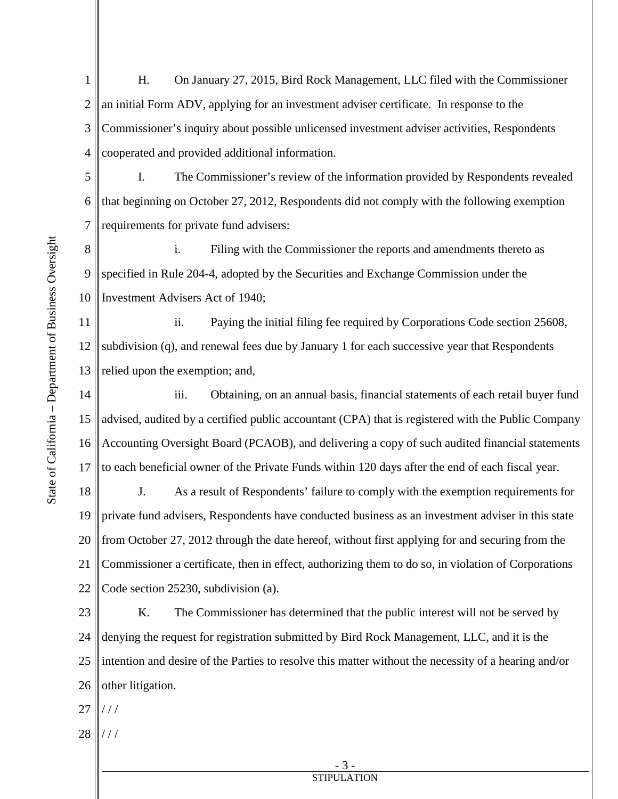1 2 3 4 H. On January 27, 2015, Bird Rock Management, LLC filed with the Commissioner an initial Form ADV, applying for an investment adviser certificate. In response to the Commissioner's inquiry about possible unlicensed investment adviser activities, Respondents cooperated and provided additional information.

5 6 7 I. The Commissioner's review of the information provided by Respondents revealed that beginning on October 27, 2012, Respondents did not comply with the following exemption requirements for private fund advisers:

8 9 10 i. Filing with the Commissioner the reports and amendments thereto as specified in Rule 204-4, adopted by the Securities and Exchange Commission under the Investment Advisers Act of 1940;

11 12 13 ii. Paying the initial filing fee required by Corporations Code section 25608, subdivision (q), and renewal fees due by January 1 for each successive year that Respondents relied upon the exemption; and,

 to each beneficial owner of the Private Funds within 120 days after the end of each fiscal year. 14 15 16 17 iii. Obtaining, on an annual basis, financial statements of each retail buyer fund advised, audited by a certified public accountant (CPA) that is registered with the Public Company Accounting Oversight Board (PCAOB), and delivering a copy of such audited financial statements

 from October 27, 2012 through the date hereof, without first applying for and securing from the 18 19 20 21 22 J. As a result of Respondents' failure to comply with the exemption requirements for private fund advisers, Respondents have conducted business as an investment adviser in this state Commissioner a certificate, then in effect, authorizing them to do so, in violation of Corporations Code section 25230, subdivision (a).

 intention and desire of the Parties to resolve this matter without the necessity of a hearing and/or 23 24 25 26 K. The Commissioner has determined that the public interest will not be served by denying the request for registration submitted by Bird Rock Management, LLC, and it is the other litigation.

27 / / /

28 / / /

> - 3 - **STIPULATION**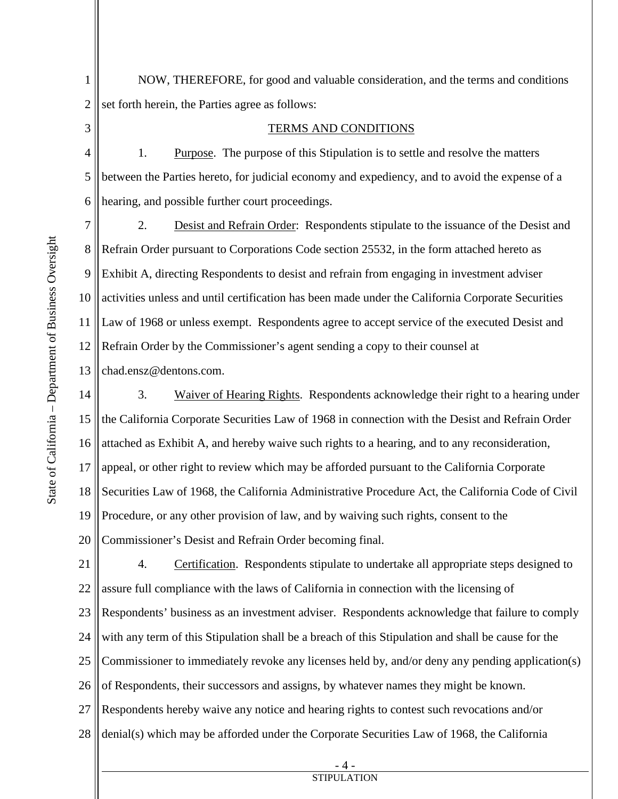1

2

3

NOW, THEREFORE, for good and valuable consideration, and the terms and conditions set forth herein, the Parties agree as follows:

## TERMS AND CONDITIONS

4 1. Purpose. The purpose of this Stipulation is to settle and resolve the matters between the Parties hereto, for judicial economy and expediency, and to avoid the expense of a hearing, and possible further court proceedings.

13 2. Desist and Refrain Order: Respondents stipulate to the issuance of the Desist and Refrain Order pursuant to Corporations Code section 25532, in the form attached hereto as Exhibit A, directing Respondents to desist and refrain from engaging in investment adviser activities unless and until certification has been made under the California Corporate Securities Law of 1968 or unless exempt. Respondents agree to accept service of the executed Desist and Refrain Order by the Commissioner's agent sending a copy to their counsel at chad.ensz@dentons.com.

3. Waiver of Hearing Rights. Respondents acknowledge their right to a hearing under the California Corporate Securities Law of 1968 in connection with the Desist and Refrain Order 14 15 16 17 18 19 20 attached as Exhibit A, and hereby waive such rights to a hearing, and to any reconsideration, appeal, or other right to review which may be afforded pursuant to the California Corporate Securities Law of 1968, the California Administrative Procedure Act, the California Code of Civil Procedure, or any other provision of law, and by waiving such rights, consent to the Commissioner's Desist and Refrain Order becoming final.

 with any term of this Stipulation shall be a breach of this Stipulation and shall be cause for the Commissioner to immediately revoke any licenses held by, and/or deny any pending application(s) 21 22 23 24 25 26 27 28 4. Certification. Respondents stipulate to undertake all appropriate steps designed to assure full compliance with the laws of California in connection with the licensing of Respondents' business as an investment adviser. Respondents acknowledge that failure to comply of Respondents, their successors and assigns, by whatever names they might be known. Respondents hereby waive any notice and hearing rights to contest such revocations and/or denial(s) which may be afforded under the Corporate Securities Law of 1968, the California

> - 4 - STIPULATION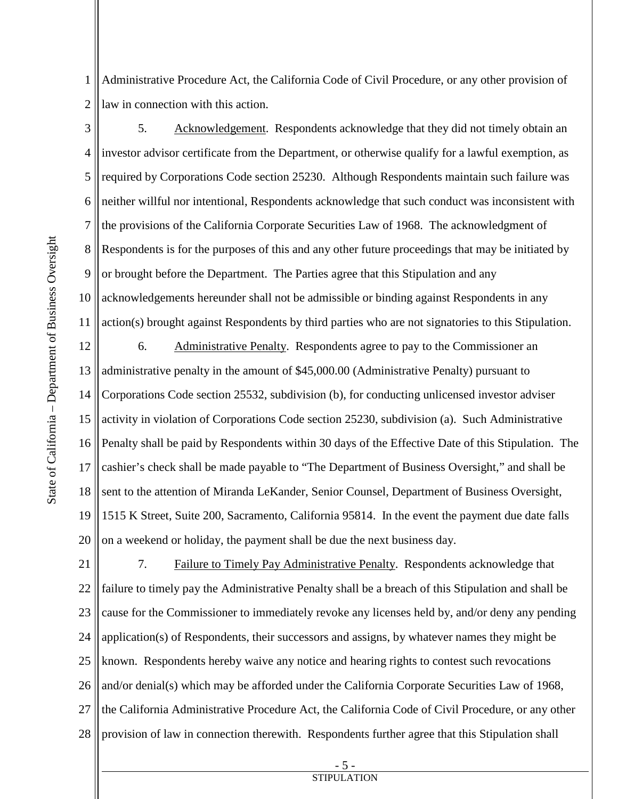State of California – Department of Business Oversight State of California - Department of Business Oversight

 Administrative Procedure Act, the California Code of Civil Procedure, or any other provision of 1 2 law in connection with this action.

3 4 5 6 7 8 9 10 11 5. Acknowledgement. Respondents acknowledge that they did not timely obtain an investor advisor certificate from the Department, or otherwise qualify for a lawful exemption, as required by Corporations Code section 25230. Although Respondents maintain such failure was neither willful nor intentional, Respondents acknowledge that such conduct was inconsistent with the provisions of the California Corporate Securities Law of 1968. The acknowledgment of Respondents is for the purposes of this and any other future proceedings that may be initiated by or brought before the Department. The Parties agree that this Stipulation and any acknowledgements hereunder shall not be admissible or binding against Respondents in any action(s) brought against Respondents by third parties who are not signatories to this Stipulation.

6. Administrative Penalty. Respondents agree to pay to the Commissioner an 12 13 14 15 16 17 18 19 20 administrative penalty in the amount of \$45,000.00 (Administrative Penalty) pursuant to Corporations Code section 25532, subdivision (b), for conducting unlicensed investor adviser activity in violation of Corporations Code section 25230, subdivision (a). Such Administrative Penalty shall be paid by Respondents within 30 days of the Effective Date of this Stipulation. The cashier's check shall be made payable to "The Department of Business Oversight," and shall be sent to the attention of Miranda LeKander, Senior Counsel, Department of Business Oversight, 1515 K Street, Suite 200, Sacramento, California 95814. In the event the payment due date falls on a weekend or holiday, the payment shall be due the next business day.

 cause for the Commissioner to immediately revoke any licenses held by, and/or deny any pending known. Respondents hereby waive any notice and hearing rights to contest such revocations 21 22 23 24 25 26 27 28 7. Failure to Timely Pay Administrative Penalty. Respondents acknowledge that failure to timely pay the Administrative Penalty shall be a breach of this Stipulation and shall be application(s) of Respondents, their successors and assigns, by whatever names they might be and/or denial(s) which may be afforded under the California Corporate Securities Law of 1968, the California Administrative Procedure Act, the California Code of Civil Procedure, or any other provision of law in connection therewith. Respondents further agree that this Stipulation shall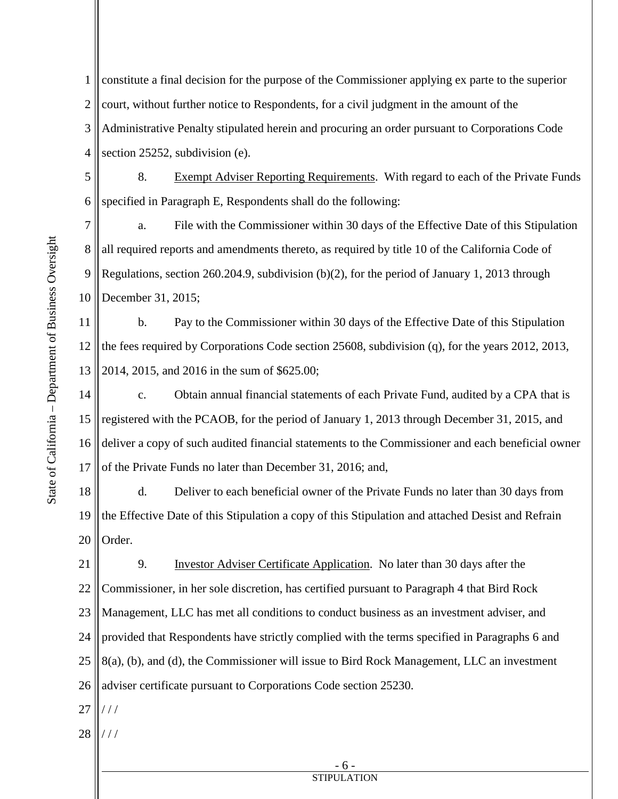1 2 3 4 constitute a final decision for the purpose of the Commissioner applying ex parte to the superior court, without further notice to Respondents, for a civil judgment in the amount of the Administrative Penalty stipulated herein and procuring an order pursuant to Corporations Code section 25252, subdivision (e).

5 6 8. Exempt Adviser Reporting Requirements. With regard to each of the Private Funds specified in Paragraph E, Respondents shall do the following:

 a. File with the Commissioner within 30 days of the Effective Date of this Stipulation 7 8 9 10 all required reports and amendments thereto, as required by title 10 of the California Code of Regulations, section 260.204.9, subdivision  $(b)(2)$ , for the period of January 1, 2013 through December 31, 2015;

11 12 13 b. Pay to the Commissioner within 30 days of the Effective Date of this Stipulation the fees required by Corporations Code section 25608, subdivision (q), for the years 2012, 2013, 2014, 2015, and 2016 in the sum of \$625.00;

 c. Obtain annual financial statements of each Private Fund, audited by a CPA that is 14 15 16 17 registered with the PCAOB, for the period of January 1, 2013 through December 31, 2015, and deliver a copy of such audited financial statements to the Commissioner and each beneficial owner of the Private Funds no later than December 31, 2016; and,

 d. Deliver to each beneficial owner of the Private Funds no later than 30 days from 18 19 20 the Effective Date of this Stipulation a copy of this Stipulation and attached Desist and Refrain Order.

 Management, LLC has met all conditions to conduct business as an investment adviser, and 21 22 23 24 25 26 9. Investor Adviser Certificate Application. No later than 30 days after the Commissioner, in her sole discretion, has certified pursuant to Paragraph 4 that Bird Rock provided that Respondents have strictly complied with the terms specified in Paragraphs 6 and 8(a), (b), and (d), the Commissioner will issue to Bird Rock Management, LLC an investment adviser certificate pursuant to Corporations Code section 25230.

27 / / /

28 / / /

> - 6 - **STIPULATION**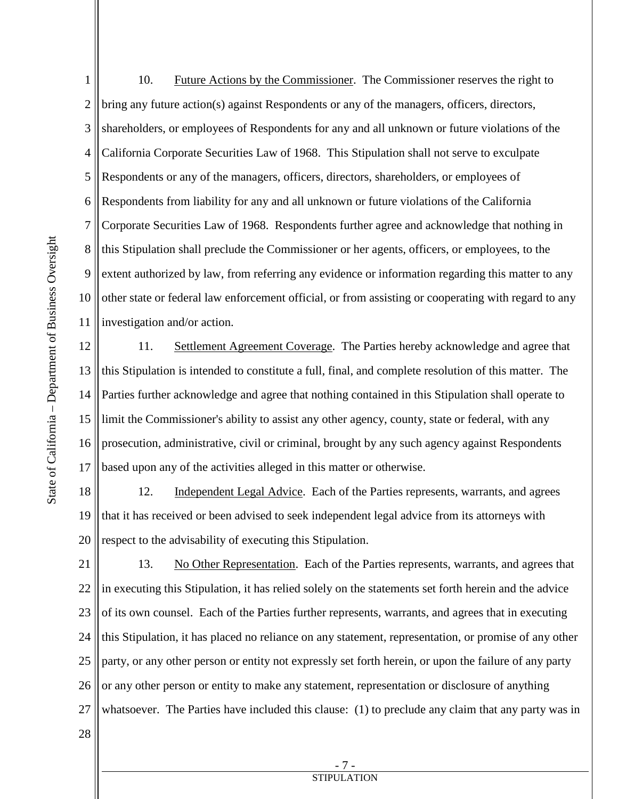bring any future action(s) against Respondents or any of the managers, officers, directors, shareholders, or employees of Respondents for any and all unknown or future violations of the investigation and/or action. 1 2 3 4 5 6 7 8 9 10 11 10. Future Actions by the Commissioner. The Commissioner reserves the right to California Corporate Securities Law of 1968. This Stipulation shall not serve to exculpate Respondents or any of the managers, officers, directors, shareholders, or employees of Respondents from liability for any and all unknown or future violations of the California Corporate Securities Law of 1968. Respondents further agree and acknowledge that nothing in this Stipulation shall preclude the Commissioner or her agents, officers, or employees, to the extent authorized by law, from referring any evidence or information regarding this matter to any other state or federal law enforcement official, or from assisting or cooperating with regard to any

11. Settlement Agreement Coverage. The Parties hereby acknowledge and agree that 12 13 14 15 16 17 this Stipulation is intended to constitute a full, final, and complete resolution of this matter. The Parties further acknowledge and agree that nothing contained in this Stipulation shall operate to limit the Commissioner's ability to assist any other agency, county, state or federal, with any prosecution, administrative, civil or criminal, brought by any such agency against Respondents based upon any of the activities alleged in this matter or otherwise.

12. Independent Legal Advice. Each of the Parties represents, warrants, and agrees respect to the advisability of executing this Stipulation. 18 19 20 that it has received or been advised to seek independent legal advice from its attorneys with

13. No Other Representation. Each of the Parties represents, warrants, and agrees that in executing this Stipulation, it has relied solely on the statements set forth herein and the advice 21 22 23 24 25 26 27 of its own counsel. Each of the Parties further represents, warrants, and agrees that in executing this Stipulation, it has placed no reliance on any statement, representation, or promise of any other party, or any other person or entity not expressly set forth herein, or upon the failure of any party or any other person or entity to make any statement, representation or disclosure of anything whatsoever. The Parties have included this clause: (1) to preclude any claim that any party was in

28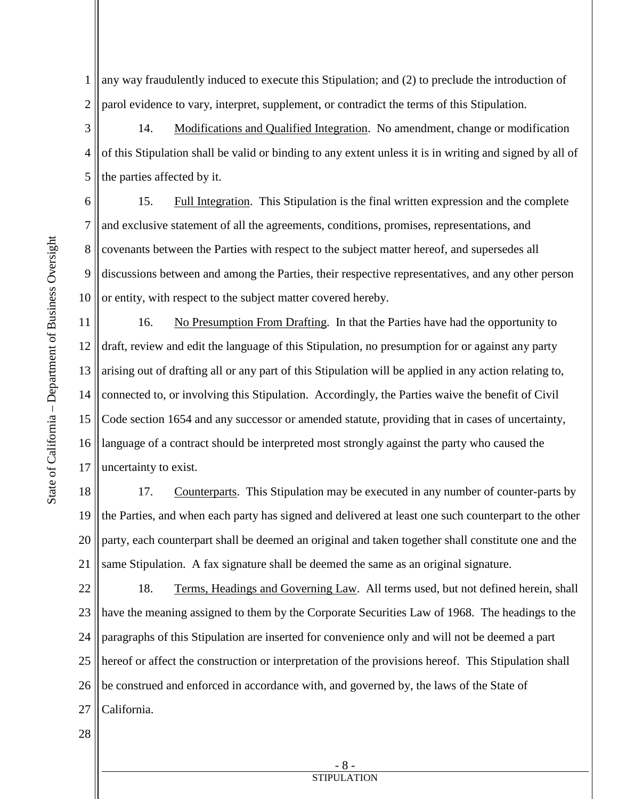1 2 any way fraudulently induced to execute this Stipulation; and (2) to preclude the introduction of parol evidence to vary, interpret, supplement, or contradict the terms of this Stipulation.

14. Modifications and Qualified Integration. No amendment, change or modification 3 4 5 of this Stipulation shall be valid or binding to any extent unless it is in writing and signed by all of the parties affected by it.

 covenants between the Parties with respect to the subject matter hereof, and supersedes all 6 7 8 9 10 15. Full Integration. This Stipulation is the final written expression and the complete and exclusive statement of all the agreements, conditions, promises, representations, and discussions between and among the Parties, their respective representatives, and any other person or entity, with respect to the subject matter covered hereby.

11 12 13 14 15 16 17 16. No Presumption From Drafting. In that the Parties have had the opportunity to draft, review and edit the language of this Stipulation, no presumption for or against any party arising out of drafting all or any part of this Stipulation will be applied in any action relating to, connected to, or involving this Stipulation. Accordingly, the Parties waive the benefit of Civil Code section 1654 and any successor or amended statute, providing that in cases of uncertainty, language of a contract should be interpreted most strongly against the party who caused the uncertainty to exist.

18 19 20 21 17. Counterparts. This Stipulation may be executed in any number of counter-parts by the Parties, and when each party has signed and delivered at least one such counterpart to the other party, each counterpart shall be deemed an original and taken together shall constitute one and the same Stipulation. A fax signature shall be deemed the same as an original signature.

18. Terms, Headings and Governing Law. All terms used, but not defined herein, shall 22 23 24 25 26 27 have the meaning assigned to them by the Corporate Securities Law of 1968. The headings to the paragraphs of this Stipulation are inserted for convenience only and will not be deemed a part hereof or affect the construction or interpretation of the provisions hereof. This Stipulation shall be construed and enforced in accordance with, and governed by, the laws of the State of California.

28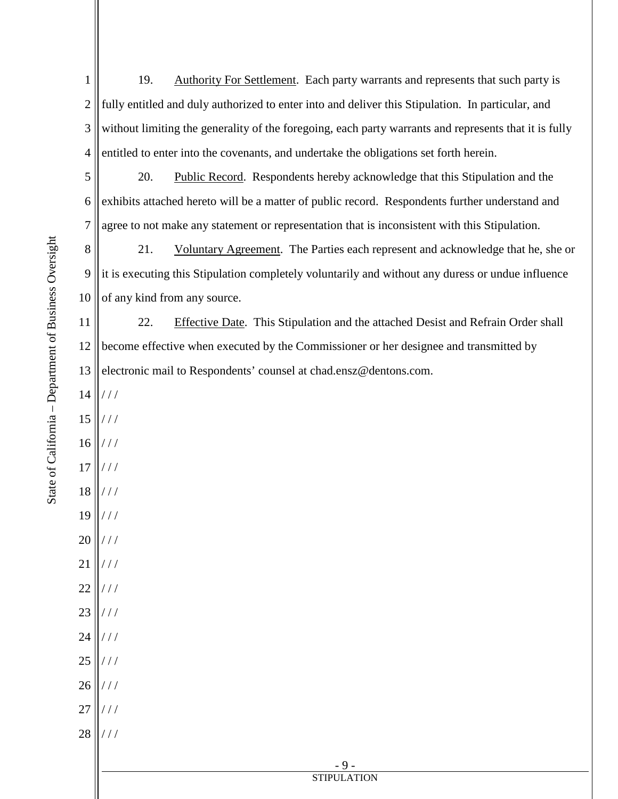1 2 3 4 5 19. Authority For Settlement. Each party warrants and represents that such party is fully entitled and duly authorized to enter into and deliver this Stipulation. In particular, and without limiting the generality of the foregoing, each party warrants and represents that it is fully entitled to enter into the covenants, and undertake the obligations set forth herein. 20. Public Record. Respondents hereby acknowledge that this Stipulation and the

6 7 exhibits attached hereto will be a matter of public record. Respondents further understand and agree to not make any statement or representation that is inconsistent with this Stipulation.

 of any kind from any source. 8 9 10 21. Voluntary Agreement. The Parties each represent and acknowledge that he, she or it is executing this Stipulation completely voluntarily and without any duress or undue influence

11 22. Effective Date. This Stipulation and the attached Desist and Refrain Order shall become effective when executed by the Commissioner or her designee and transmitted by electronic mail to Respondents' counsel at chad.ensz@dentons.com.

State of California – Department of Business Oversight

State of California - Department of Business Oversight

| 12 | become effective when executed by the Commissioner or her designee and transmitted b |
|----|--------------------------------------------------------------------------------------|
| 13 | electronic mail to Respondents' counsel at chad.ensz@dentons.com.                    |
| 14 | $\frac{1}{1}$                                                                        |
|    | $15$   ///                                                                           |
|    | $16$   ///                                                                           |
|    | $17$   ///                                                                           |
|    | $18$   ///                                                                           |
|    | $19$   ///                                                                           |
|    | $20$   ///                                                                           |
|    | $21$  ///                                                                            |
|    | $22$   ///                                                                           |
|    | $23$   ///                                                                           |
|    | $24$   ///                                                                           |
|    | $25$   ///                                                                           |
|    | $26$   ///                                                                           |
|    | $27$   ///                                                                           |
|    | $28$   ///                                                                           |
|    |                                                                                      |
|    | - 9 -<br><b>STIPULATION</b>                                                          |
|    |                                                                                      |